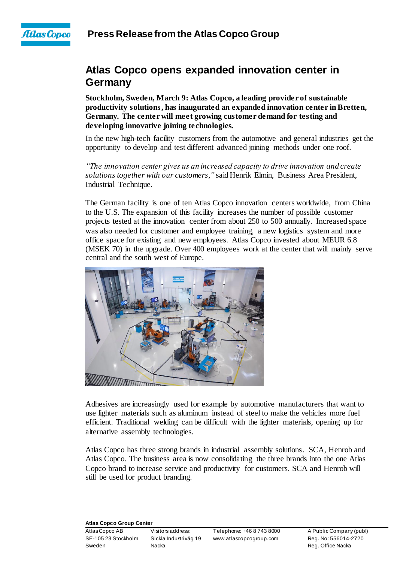

## **Atlas Copco opens expanded innovation center in Germany**

**Stockholm, Sweden, March 9: Atlas Copco, a leading provider of sustainable productivity solutions, has inaugurated an expanded innovation center in Bretten, Germany. The center will meet growing customer demand for testing and developing innovative joining technologies.**

In the new high-tech facility customers from the automotive and general industries get the opportunity to develop and test different advanced joining methods under one roof.

*"The innovation center gives us an increased capacity to drive innovation and create solutions together with our customers,"* said Henrik Elmin, Business Area President, Industrial Technique.

The German facility is one of ten Atlas Copco innovation centers worldwide, from China to the U.S. The expansion of this facility increases the number of possible customer projects tested at the innovation center from about 250 to 500 annually. Increased space was also needed for customer and employee training, a new logistics system and more office space for existing and new employees. Atlas Copco invested about MEUR 6.8 (MSEK 70) in the upgrade. Over 400 employees work at the center that will mainly serve central and the south west of Europe.



Adhesives are increasingly used for example by automotive manufacturers that want to use lighter materials such as aluminum instead of steel to make the vehicles more fuel efficient. Traditional welding can be difficult with the lighter materials, opening up for alternative assembly technologies.

Atlas Copco has three strong brands in industrial assembly solutions. SCA, Henrob and Atlas Copco. The business area is now consolidating the three brands into the one Atlas Copco brand to increase service and productivity for customers. SCA and Henrob will still be used for product branding.

## **Atlas Copco Group Center**

Sweden **Nacka** Nacka Reg. Office Nacka

Atlas Copco AB Visitors address: Telephone: +46 8 743 8000 A Public Company (publ)<br>SF-105 23 Stockholm Sickla Industriva a 19 www.atlascopcogroup.com Reg. No: 556014-2720 Sickla Industriväg 19 www.atlascopcogroup.com Reg. No: 556014-2720